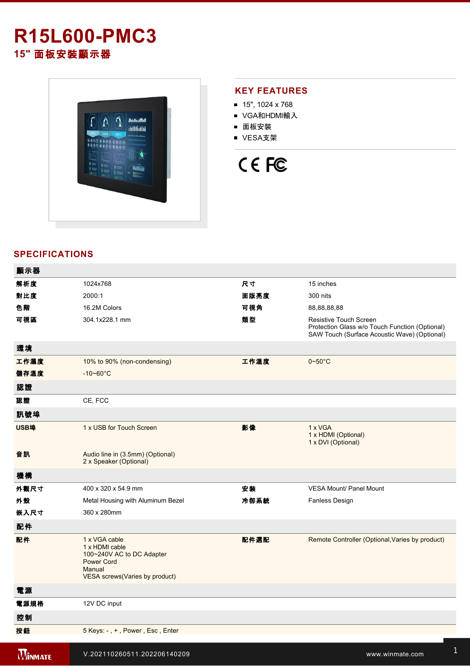# **R15L600-PMC3**

**15"** 面板安裝顯示器



### **KEY FEATURES**

- $15$ ", 1024 x 768
- VGA和HDMI輸入
- 面板安裝
- VESA支架

# CE FC

## **SPECIFICATIONS**

| 顯示器            |                                                                                                                                |      |                                                                                                                                 |
|----------------|--------------------------------------------------------------------------------------------------------------------------------|------|---------------------------------------------------------------------------------------------------------------------------------|
| 解析度            | 1024x768                                                                                                                       | 尺寸   | 15 inches                                                                                                                       |
| 對比度            | 2000:1                                                                                                                         | 面版亮度 | 300 nits                                                                                                                        |
| 色階             | 16.2M Colors                                                                                                                   | 可視角  | 88,88,88,88                                                                                                                     |
| 可視區            | 304.1x228.1 mm                                                                                                                 | 類型   | <b>Resistive Touch Screen</b><br>Protection Glass w/o Touch Function (Optional)<br>SAW Touch (Surface Acoustic Wave) (Optional) |
| 環境             |                                                                                                                                |      |                                                                                                                                 |
| 工作濕度           | 10% to 90% (non-condensing)                                                                                                    | 工作溫度 | $0\nightharpoonup 50^\circ C$                                                                                                   |
| 儲存溫度           | $-10 - 60^{\circ}$ C                                                                                                           |      |                                                                                                                                 |
| 認證             |                                                                                                                                |      |                                                                                                                                 |
| 認證             | CE, FCC                                                                                                                        |      |                                                                                                                                 |
| 訊號埠            |                                                                                                                                |      |                                                                                                                                 |
| USB埠           | 1 x USB for Touch Screen                                                                                                       | 影像   | 1 x VGA<br>1 x HDMI (Optional)<br>1 x DVI (Optional)                                                                            |
| 音訊             | Audio line in (3.5mm) (Optional)<br>2 x Speaker (Optional)                                                                     |      |                                                                                                                                 |
| 機構             |                                                                                                                                |      |                                                                                                                                 |
| 外觀尺寸           | 400 x 320 x 54.9 mm                                                                                                            | 安装   | VESA Mount/ Panel Mount                                                                                                         |
| 外殼             | Metal Housing with Aluminum Bezel                                                                                              | 冷卻系統 | Fanless Design                                                                                                                  |
| 嵌入尺寸           | 360 x 280mm                                                                                                                    |      |                                                                                                                                 |
| 配件             |                                                                                                                                |      |                                                                                                                                 |
| 配件             | 1 x VGA cable<br>1 x HDMI cable<br>100~240V AC to DC Adapter<br><b>Power Cord</b><br>Manual<br>VESA screws (Varies by product) | 配件選配 | Remote Controller (Optional, Varies by product)                                                                                 |
| 電源             |                                                                                                                                |      |                                                                                                                                 |
| 電源規格           | 12V DC input                                                                                                                   |      |                                                                                                                                 |
| 控制             |                                                                                                                                |      |                                                                                                                                 |
| 按鈕             | 5 Keys: -, +, Power, Esc, Enter                                                                                                |      |                                                                                                                                 |
| <b>WINMATE</b> | V.202110260511.202206140209                                                                                                    |      | www.winmate.com                                                                                                                 |